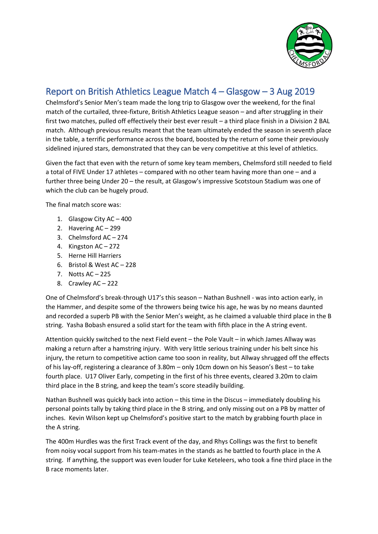

## Report on British Athletics League Match 4 – Glasgow – 3 Aug 2019

Chelmsford's Senior Men's team made the long trip to Glasgow over the weekend, for the final match of the curtailed, three-fixture, British Athletics League season – and after struggling in their first two matches, pulled off effectively their best ever result – a third place finish in a Division 2 BAL match. Although previous results meant that the team ultimately ended the season in seventh place in the table, a terrific performance across the board, boosted by the return of some their previously sidelined injured stars, demonstrated that they can be very competitive at this level of athletics.

Given the fact that even with the return of some key team members, Chelmsford still needed to field a total of FIVE Under 17 athletes – compared with no other team having more than one – and a further three being Under 20 – the result, at Glasgow's impressive Scotstoun Stadium was one of which the club can be hugely proud.

The final match score was:

- 1. Glasgow City AC 400
- 2. Havering AC 299
- 3. Chelmsford AC 274
- 4. Kingston AC 272
- 5. Herne Hill Harriers
- 6. Bristol & West AC 228
- 7. Notts AC 225
- 8. Crawley AC 222

One of Chelmsford's break-through U17's this season – Nathan Bushnell - was into action early, in the Hammer, and despite some of the throwers being twice his age, he was by no means daunted and recorded a superb PB with the Senior Men's weight, as he claimed a valuable third place in the B string. Yasha Bobash ensured a solid start for the team with fifth place in the A string event.

Attention quickly switched to the next Field event – the Pole Vault – in which James Allway was making a return after a hamstring injury. With very little serious training under his belt since his injury, the return to competitive action came too soon in reality, but Allway shrugged off the effects of his lay-off, registering a clearance of 3.80m – only 10cm down on his Season's Best – to take fourth place. U17 Oliver Early, competing in the first of his three events, cleared 3.20m to claim third place in the B string, and keep the team's score steadily building.

Nathan Bushnell was quickly back into action – this time in the Discus – immediately doubling his personal points tally by taking third place in the B string, and only missing out on a PB by matter of inches. Kevin Wilson kept up Chelmsford's positive start to the match by grabbing fourth place in the A string.

The 400m Hurdles was the first Track event of the day, and Rhys Collings was the first to benefit from noisy vocal support from his team-mates in the stands as he battled to fourth place in the A string. If anything, the support was even louder for Luke Keteleers, who took a fine third place in the B race moments later.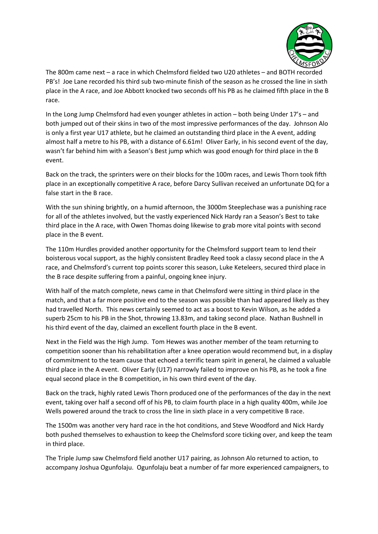

The 800m came next – a race in which Chelmsford fielded two U20 athletes – and BOTH recorded PB's! Joe Lane recorded his third sub two-minute finish of the season as he crossed the line in sixth place in the A race, and Joe Abbott knocked two seconds off his PB as he claimed fifth place in the B race.

In the Long Jump Chelmsford had even younger athletes in action – both being Under 17's – and both jumped out of their skins in two of the most impressive performances of the day. Johnson Alo is only a first year U17 athlete, but he claimed an outstanding third place in the A event, adding almost half a metre to his PB, with a distance of 6.61m! Oliver Early, in his second event of the day, wasn't far behind him with a Season's Best jump which was good enough for third place in the B event.

Back on the track, the sprinters were on their blocks for the 100m races, and Lewis Thorn took fifth place in an exceptionally competitive A race, before Darcy Sullivan received an unfortunate DQ for a false start in the B race.

With the sun shining brightly, on a humid afternoon, the 3000m Steeplechase was a punishing race for all of the athletes involved, but the vastly experienced Nick Hardy ran a Season's Best to take third place in the A race, with Owen Thomas doing likewise to grab more vital points with second place in the B event.

The 110m Hurdles provided another opportunity for the Chelmsford support team to lend their boisterous vocal support, as the highly consistent Bradley Reed took a classy second place in the A race, and Chelmsford's current top points scorer this season, Luke Keteleers, secured third place in the B race despite suffering from a painful, ongoing knee injury.

With half of the match complete, news came in that Chelmsford were sitting in third place in the match, and that a far more positive end to the season was possible than had appeared likely as they had travelled North. This news certainly seemed to act as a boost to Kevin Wilson, as he added a superb 25cm to his PB in the Shot, throwing 13.83m, and taking second place. Nathan Bushnell in his third event of the day, claimed an excellent fourth place in the B event.

Next in the Field was the High Jump. Tom Hewes was another member of the team returning to competition sooner than his rehabilitation after a knee operation would recommend but, in a display of commitment to the team cause that echoed a terrific team spirit in general, he claimed a valuable third place in the A event. Oliver Early (U17) narrowly failed to improve on his PB, as he took a fine equal second place in the B competition, in his own third event of the day.

Back on the track, highly rated Lewis Thorn produced one of the performances of the day in the next event, taking over half a second off of his PB, to claim fourth place in a high quality 400m, while Joe Wells powered around the track to cross the line in sixth place in a very competitive B race.

The 1500m was another very hard race in the hot conditions, and Steve Woodford and Nick Hardy both pushed themselves to exhaustion to keep the Chelmsford score ticking over, and keep the team in third place.

The Triple Jump saw Chelmsford field another U17 pairing, as Johnson Alo returned to action, to accompany Joshua Ogunfolaju. Ogunfolaju beat a number of far more experienced campaigners, to